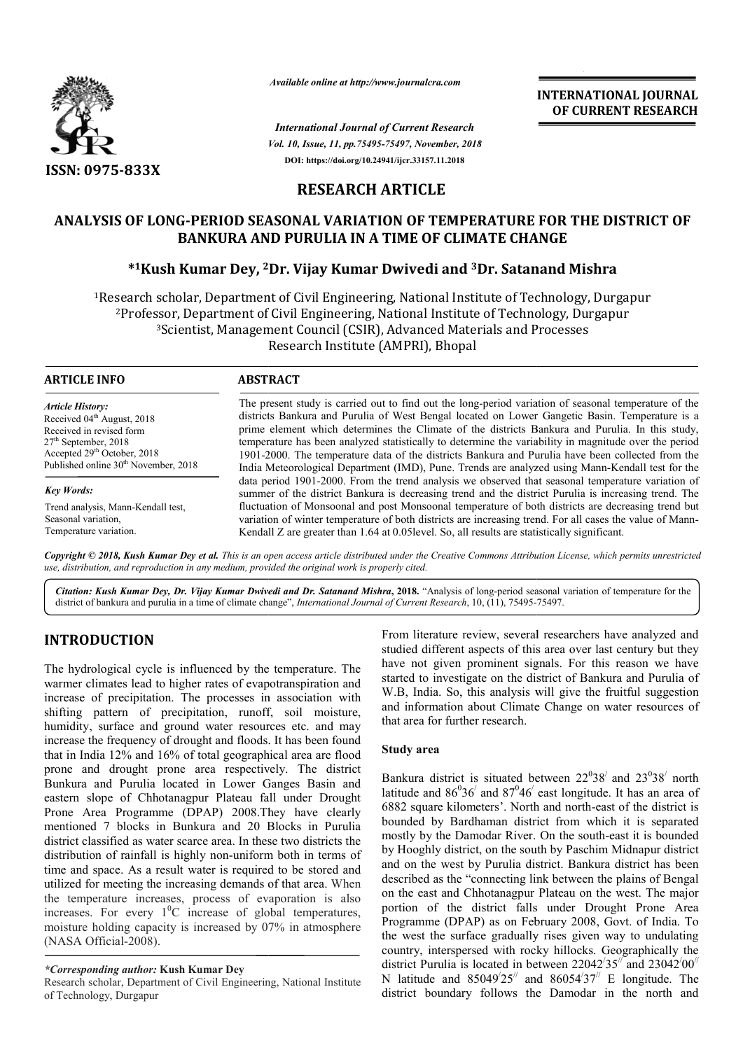

*Available online at http://www.journalcra.com*

*Vol. 10, Issue, 11, pp.75495-75497, November, 2018 International Journal of Current Research* **DOI: https://doi.org/10.24941/ijcr.33157.11.2018**

**INTERNATIONAL JOURNAL OF CURRENT RESEARCH**

# **RESEARCH ARTICLE**

# **ANALYSIS OF LONG-PERIOD SEASONAL VARIATION OF TEMPERATURE FOR THE DISTRICT OF BANKURA AND PURULIA IN A TIME OF CLIMATE CHANGE** OF LONG-PERIOD SEASONAL VARIATION OF TEMPERATURE FOR THE DI<br>BANKURA AND PURULIA IN A TIME OF CLIMATE CHANGE<br><sup>\*1</sup>Kush Kumar Dey, <sup>2</sup>Dr. Vijay Kumar Dwivedi and <sup>3</sup>Dr. Satanand Mishra

1Research scholar, Department of Civil Engineering, National Institute of Technology, Durgapur 2Professor, Department of Civil Engineering, National Institute of Technology, Durgapur 3Scientist, Management Council (CSIR), Advanced Materials and Processes Research Institute (AMPRI), Bhopal Research scholar, Department of Civil Engineering, National Institute of Technology, Durgapur<sup>2</sup>Professor, Department of Civil Engineering, National Institute of Technology, Durgapur<sup>3</sup>Scientist, Management Council (CSIR),

| <b>ARTICLE INFO</b>                              | <b>ABSTRACT</b>                                                                                                                                                                                           |
|--------------------------------------------------|-----------------------------------------------------------------------------------------------------------------------------------------------------------------------------------------------------------|
| <b>Article History:</b>                          | The present study is carried out to find out the long-period variation of seasonal temperature of the                                                                                                     |
| Received 04 <sup>th</sup> August, 2018           | districts Bankura and Purulia of West Bengal located on Lower Gangetic Basin. Temperature is a                                                                                                            |
| Received in revised form                         | prime element which determines the Climate of the districts Bankura and Purulia. In this study,                                                                                                           |
| $27th$ September, 2018                           | temperature has been analyzed statistically to determine the variability in magnitude over the period                                                                                                     |
| Accepted 29th October, 2018                      | 1901-2000. The temperature data of the districts Bankura and Purulia have been collected from the                                                                                                         |
| Published online 30 <sup>th</sup> November, 2018 | India Meteorological Department (IMD), Pune. Trends are analyzed using Mann-Kendall test for the                                                                                                          |
| <b>Key Words:</b>                                | data period 1901-2000. From the trend analysis we observed that seasonal temperature variation of<br>summer of the district Bankura is decreasing trend and the district Purulia is increasing trend. The |
| Trend analysis, Mann-Kendall test,               | fluctuation of Monsoonal and post Monsoonal temperature of both districts are decreasing trend but                                                                                                        |
| Seasonal variation,                              | variation of winter temperature of both districts are increasing trend. For all cases the value of Mann-                                                                                                  |
| Temperature variation.                           | Kendall Z are greater than $1.64$ at 0.05 level. So, all results are statistically significant.                                                                                                           |

Copyright © 2018, Kush Kumar Dey et al. This is an open access article distributed under the Creative Commons Attribution License, which permits unrestrictea *use, distribution, and reproduction in any medium, provided the original work is properly cited.*

Citation: Kush Kumar Dey, Dr. Vijay Kumar Dwivedi and Dr. Satanand Mishra, 2018. "Analysis of long-period seasonal variation of temperature for the<br>district of bankura and purulia in a time of climate change", *Internation* district of bankura and purulia in a time of climate change", *International Journal of Current Research*, 10, (11), 75495-75497

# **INTRODUCTION**

The hydrological cycle is influenced by the temperature. The warmer climates lead to higher rates of evapotranspiration and increase of precipitation. The processes in association with shifting pattern of precipitation, runoff, soil moisture, humidity, surface and ground water resources etc. and may increase the frequency of drought and floods. It has been found that in India 12% and 16% of total geographical area are flood prone and drought prone area respectively. The district Bunkura and Purulia located in Lower Ganges Basin and eastern slope of Chhotanagpur Plateau fall under Drought Prone Area Programme (DPAP) 2008.They have clearly mentioned 7 blocks in Bunkura and 20 Blocks in Purulia district classified as water scarce area. In these two districts the distribution of rainfall is highly non-uniform both in terms of time and space. As a result water is required to be stored and distribution of rainfall is highly non-uniform both in terms of time and space. As a result water is required to be stored and utilized for meeting the increasing demands of that area. When the temperature increases, process of evaporation is also increases. For every  $1^0C$  increase of global temperatures, moisture holding capacity is increased by 07% in atmosphere (NASA Official-2008). face and ground water resources etc. and may<br>requency of drought and floods. It has been found<br>2% and 16% of total geographical area are flood<br>trought prone area respectively. The district<br>Purulia located in Lower Ganges B

## *\*Corresponding author:* **Kush Kumar Dey**

Research scholar, Department of Civil Engineering, National Institute of Technology, Durgapur

From literature review, several researchers have analyzed and studied different aspects of this area over last century but they have not given prominent signals. For this reason we have started to investigate on the district of Bankura and Purulia of W.B, India. So, this analysis will give the fruitful suggestion and information about Climate Change on water resources of that area for further research. W.B, India. So, this analysis will give the fruitful suggestion<br>and information about Climate Change on water resources of<br>that area for further research.<br>**Study area**<br>Bankura district is situated between  $22^038'$  and  $2$ researchers have analyzed and<br>area over last century but they<br>als. For this reason we have<br>rict of Bankura and Purulia of

# **Study area**

latitude and  $86^036'$  and  $87^046'$  east longitude. It has an area of 6882 square kilometers'. North and north-east of the district is bounded by Bardhaman district from which it is separated mostly by the Damodar River. On the south-east it is bounded mostly by the Damodar River. On the south by Hooghly district, on the south by Paschim Midnapur district and on the west by Purulia district. Bankura district has been described as the "connecting link between the plains of Bengal on the east and Chhotanagpur Plateau on the west. The major portion of the district falls under Drought Prone Area Programme (DPAP) as on February 2008, Govt. of India. To the west the surface gradually rises given way to undulating country, interspersed with rocky hillocks. Geographically the district Purulia is located in between  $22042'35''$  and  $23042'00''$ N latitude and  $85049'25''$  and  $86054'37''$  E longitude. The district boundary follows the Damodar in the north and district, on the south by Paschim Midnapur district west by Purulia district. Bankura district has been s the "connecting link between the plains of Bengal and Chhotanagpur Plateau on the west. The major the district fall **INTERNATIONAL JOURNAL**<br> **INTERNATIONAL DOURNAL**<br> **OF CURRENT RESEARCH**<br> **CONSERVATIONS**<br> **CONSERVATIONS**<br> **CONSERVATIONS**<br> **CONSERVATIONS**<br> **CONSERVATIONS**<br> **CONSERVATIONS**<br> **CONSERVATIONS**<br> **CONSERVATIONS**<br> **CONSERVATION**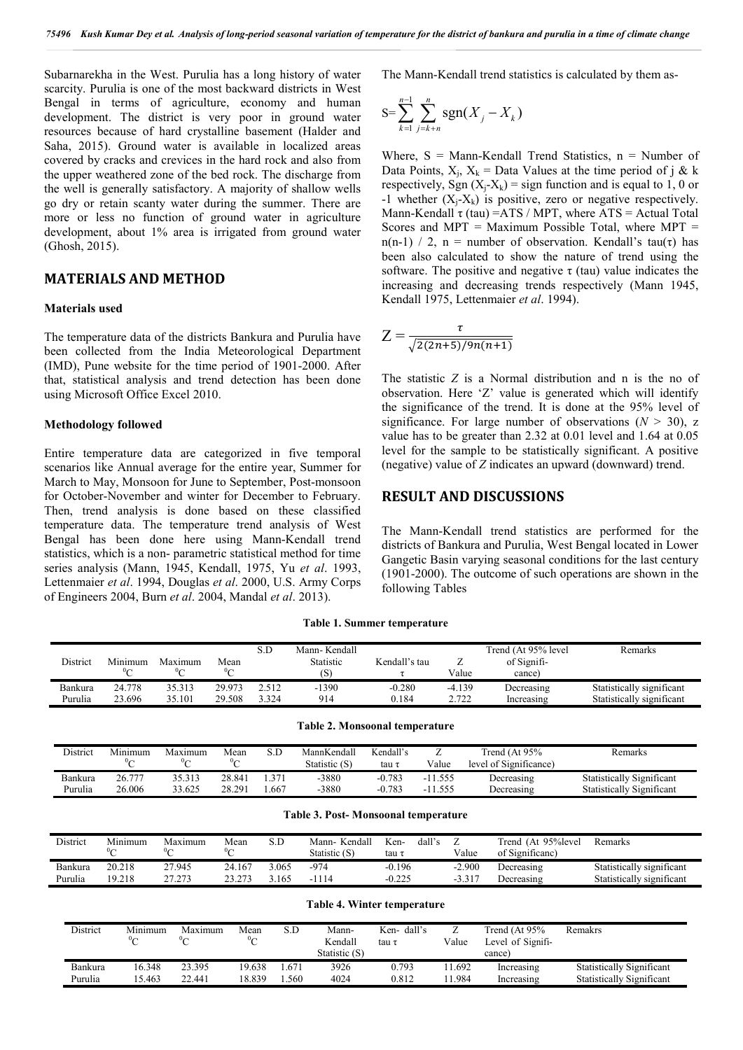Subarnarekha in the West. Purulia has a long history of water scarcity. Purulia is one of the most backward districts in West Bengal in terms of agriculture, economy and human development. The district is very poor in ground water resources because of hard crystalline basement (Halder and Saha, 2015). Ground water is available in localized areas covered by cracks and crevices in the hard rock and also from the upper weathered zone of the bed rock. The discharge from the well is generally satisfactory. A majority of shallow wells go dry or retain scanty water during the summer. There are more or less no function of ground water in agriculture development, about 1% area is irrigated from ground water (Ghosh, 2015).

# **MATERIALS AND METHOD**

#### **Materials used**

The temperature data of the districts Bankura and Purulia have been collected from the India Meteorological Department (IMD), Pune website for the time period of 1901-2000. After that, statistical analysis and trend detection has been done using Microsoft Office Excel 2010.

#### **Methodology followed**

Entire temperature data are categorized in five temporal scenarios like Annual average for the entire year, Summer for March to May, Monsoon for June to September, Post-monsoon for October-November and winter for December to February. Then, trend analysis is done based on these classified temperature data. The temperature trend analysis of West Bengal has been done here using Mann-Kendall trend statistics, which is a non- parametric statistical method for time series analysis (Mann, 1945, Kendall, 1975, Yu *et al*. 1993, Lettenmaier *et al*. 1994, Douglas *et al*. 2000, U.S. Army Corps of Engineers 2004, Burn *et al*. 2004, Mandal *et al*. 2013).

The Mann-Kendall trend statistics is calculated by them as-

$$
S = \sum_{k=1}^{n-1} \sum_{j=k+n}^{n} sgn(X_j - X_k)
$$

Where,  $S =$  Mann-Kendall Trend Statistics,  $n =$  Number of Data Points,  $X_i$ ,  $X_k$  = Data Values at the time period of j & k respectively, Sgn  $(X_i-X_k)$  = sign function and is equal to 1, 0 or -1 whether  $(X_i-X_k)$  is positive, zero or negative respectively. Mann-Kendall  $\tau$  (tau) =ATS / MPT, where ATS = Actual Total Scores and MPT = Maximum Possible Total, where MPT = n(n-1) / 2, n = number of observation. Kendall's tau( $\tau$ ) has been also calculated to show the nature of trend using the software. The positive and negative  $\tau$  (tau) value indicates the increasing and decreasing trends respectively (Mann 1945, Kendall 1975, Lettenmaier *et al*. 1994).

$$
Z=\frac{\tau}{\sqrt{2(2n+5)/9n(n+1)}}
$$

The statistic *Z* is a Normal distribution and n is the no of observation. Here 'Z' value is generated which will identify the significance of the trend. It is done at the 95% level of significance. For large number of observations  $(N > 30)$ , z value has to be greater than 2.32 at 0.01 level and 1.64 at 0.05 level for the sample to be statistically significant. A positive (negative) value of *Z* indicates an upward (downward) trend.

# **RESULT AND DISCUSSIONS**

The Mann-Kendall trend statistics are performed for the districts of Bankura and Purulia, West Bengal located in Lower Gangetic Basin varying seasonal conditions for the last century (1901-2000). The outcome of such operations are shown in the following Tables

**Table 1. Summer temperature**

| District | Minimum<br>$0\sim$ | Maximum<br>∽י | Mean<br>$0\sim$ | S.D   | Mann-Kendall<br>Statistic<br>'S) | Kendall's tau | ∸<br>Value | Trend (At 95% level<br>of Signifi-<br>cance | Remarks                   |
|----------|--------------------|---------------|-----------------|-------|----------------------------------|---------------|------------|---------------------------------------------|---------------------------|
| Bankura  | 24.778             | 35.313        | 29.973          | 2.512 | $-1390$                          | $-0.280$      | $-4.139$   | Decreasing                                  | Statistically significant |
| Purulia  | 23.696             | 35.101        | 29.508          | 3.324 | 914                              | 0.184         | 2.722      | Increasing                                  | Statistically significant |

| District | Minimum<br>$0\sim$ | Maximum<br>$0\sim$ | Mean<br>$0\sim$ | S.D  | MannKendall<br>Statistic (S) | Kendall's<br>tau τ | Value     | Trend $(At 95%$<br>level of Significance) | Remarks                          |
|----------|--------------------|--------------------|-----------------|------|------------------------------|--------------------|-----------|-------------------------------------------|----------------------------------|
| Bankura  | 26.777             | 35.313             | 28.841          | .371 | $-3880$                      | $-0.783$           | $-11.555$ | Decreasing                                | <b>Statistically Significant</b> |
| Purulia  | 26.006             | 33.625             | 28.291          | .667 | $-3880$                      | $-0.783$           | $-11.555$ | Decreasing                                | Statistically Significant        |
|          |                    |                    |                 |      |                              |                    |           |                                           |                                  |

**Table 3. Post- Monsoonal temperature**

| District | Minimum<br>0< | Maximum<br>$^{\prime\prime}$ | Mean<br>$0\sim$ | S.D  | Kendall<br>Mann-<br>Statistic (S) | dall's<br>Ken-<br>tau 1 | Value    | Trend (At 95% level)<br>of Significanc | Remarks                   |
|----------|---------------|------------------------------|-----------------|------|-----------------------------------|-------------------------|----------|----------------------------------------|---------------------------|
| Bankura  | 20.218        | 27.945                       | 24.167          | .065 | -974                              | $-0.196$                | $-2.900$ | Decreasing                             | Statistically significant |
| Purulia  | 19.218        | 27.273                       | 23.273          | .165 | $-1114$                           | 0.225                   | 3.317    | Jecreasing                             | Statistically significant |

| Table 4. Winter temperature |                           |                     |                                     |              |                                   |                     |                 |                                              |                                                                      |  |  |
|-----------------------------|---------------------------|---------------------|-------------------------------------|--------------|-----------------------------------|---------------------|-----------------|----------------------------------------------|----------------------------------------------------------------------|--|--|
| District                    | Minimum<br>$^0\mathrm{C}$ | Maximum<br>$\sigma$ | Mean<br>$\mathfrak{O}_{\mathbb{C}}$ | S.D          | Mann-<br>Kendall<br>Statistic (S) | Ken-dall's<br>tau τ | Value           | Trend (At 95%<br>Level of Signifi-<br>cance) | Remakrs                                                              |  |  |
| Bankura<br>Purulia          | 16.348<br>15.463          | 23.395<br>22.441    | 19.638<br>18.839                    | .671<br>.560 | 3926<br>4024                      | 0.793<br>0.812      | 11.692<br>1.984 | Increasing<br>Increasing                     | <b>Statistically Significant</b><br><b>Statistically Significant</b> |  |  |

**Table 2. Monsoonal temperature**